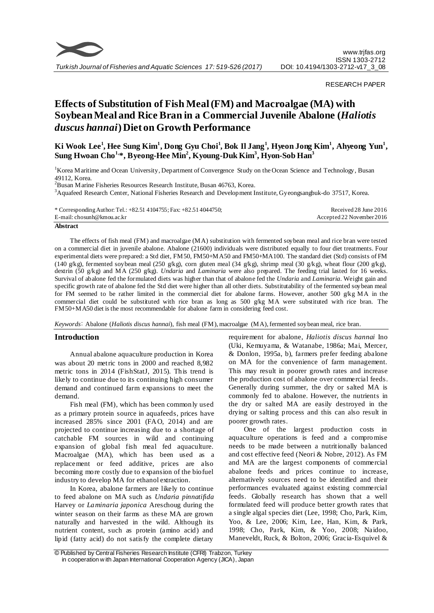

RESEARCH PAPER

# **Effects of Substitution of Fish Meal (FM) and Macroalgae (MA) with Soybean Meal and Rice Bran in a Commercial Juvenile Abalone (***Haliotis duscus hannai***) Diet on Growth Performance**

**Ki Wook Lee<sup>1</sup> , Hee Sung Kim<sup>1</sup> , Dong Gyu Choi<sup>1</sup> , Bok Il Jang<sup>1</sup> , Hyeon Jong Kim<sup>1</sup> , Ahyeong Yun<sup>1</sup> , Sung Hwoan Cho1,\*, Byeong-Hee Min<sup>2</sup> , Kyoung-Duk Kim<sup>3</sup> , Hyon-Sob Han<sup>3</sup>**

<sup>1</sup>Korea Maritime and Ocean University, Department of Convergence Study on the Ocean Science and Technology, Busan 49112, Korea.

<sup>2</sup>Busan Marine Fisheries Resources Research Institute, Busan 46763, Korea.

<sup>3</sup>Aquafeed Research Center, National Fisheries Research and Development Institute, Gyeongsangbuk-do 37517, Korea.

| * Corresponding Author: Tel.: $+82.514104755$ ; Fax: $+82.514044750$ ; | Received 28 June 2016     |
|------------------------------------------------------------------------|---------------------------|
| E-mail: chosunh@kmou.ac.kr                                             | Accepted 22 November 2016 |

## **Abstract**

The effects of fish meal (FM) and macroalgae (MA) substitution with fermented soybean meal and rice bran were tested on a commercial diet in juvenile abalone. Abalone (21600) individuals were distributed equally to four diet treatments. Four experimental diets were prepared: a Std diet, FM50, FM50+MA50 and FM50+MA100. The standard diet (Std) consists of FM (140 g/kg), fermented soybean meal (250 g/kg), corn gluten meal (34 g/kg), shrimp meal (30 g/kg), wheat flour (200 g/kg), dextrin (50 g/kg) and MA (250 g/kg). *Undaria* and *Laminaria* were also prepared. The feeding trial lasted for 16 weeks. Survival of abalone fed the formulated diets was higher than that of abalone fed the *Undaria* and *Laminaria*. Weight gain and specific growth rate of abalone fed the Std diet were higher than all other diets. Substitutability of the fermented soybean meal for FM seemed to be rather limited in the commercial diet for abalone farms. However, another 500 g/kg MA in the commercial diet could be substituted with rice bran as long as 500 g/kg MA were substituted with rice bran. The FM50+MA50 diet is the most recommendable for abalone farm in considering feed cost.

*Keywords*: Abalone (*Haliotis discus hannai*), fish meal (FM), macroalgae (MA), fermented soybean meal, rice bran.

# **Introduction**

Annual abalone aquaculture production in Korea was about 20 metric tons in 2000 and reached 8,982 metric tons in 2014 (FishStatJ, 2015). This trend is likely to continue due to its continuing high consumer demand and continued farm expansions to meet the demand.

Fish meal (FM), which has been commonly used as a primary protein source in aquafeeds, prices have increased 285% since 2001 (FAO, 2014) and are projected to continue increasing due to a shortage of catchable FM sources in wild and continuing expansion of global fish meal fed aquaculture. Macroalgae (MA), which has been used as a replacement or feed additive, prices are also becoming more costly due to expansion of the biofuel industry to develop MA for ethanol extraction.

In Korea, abalone farmers are likely to continue to feed abalone on MA such as *Undaria pinnatifida* Harvey or *Laminaria japonica* Areschoug during the winter season on their farms as these MA are grown naturally and harvested in the wild. Although its nutrient content, such as protein (amino acid) and lipid (fatty acid) do not satisfy the complete dietary

requirement for abalone, *Haliotis discus hannai* Ino (Uki, Kemuyama, & Watanabe, 1986a; Mai, Mercer, & Donlon, 1995a, b), farmers prefer feeding abalone on MA for the convenience of farm management. This may result in poorer growth rates and increase the production cost of abalone over commercial feeds. Generally during summer, the dry or salted MA is commonly fed to abalone. However, the nutrients in the dry or salted MA are easily destroyed in the drying or salting process and this can also result in poorer growth rates.

One of the largest production costs in aquaculture operations is feed and a compromise needs to be made between a nutritionally balanced and cost effective feed (Neori & Nobre, 2012). As FM and MA are the largest components of commercial abalone feeds and prices continue to increase, alternatively sources need to be identified and their performances evaluated against existing commercial feeds. Globally research has shown that a well formulated feed will produce better growth rates that a single algal species diet (Lee, 1998; Cho, Park, Kim, Yoo, & Lee, 2006; Kim, Lee, Han, Kim, & Park, 1998; Cho, Park, Kim, & Yoo, 2008; Naidoo, Maneveldt, Ruck, & Bolton, 2006; Gracia-Esquivel &

<sup>©</sup> Published by Central Fisheries Research Institute (CFRI) Trabzon, Turkey in cooperation w ith Japan International Cooperation Agency (JICA), Japan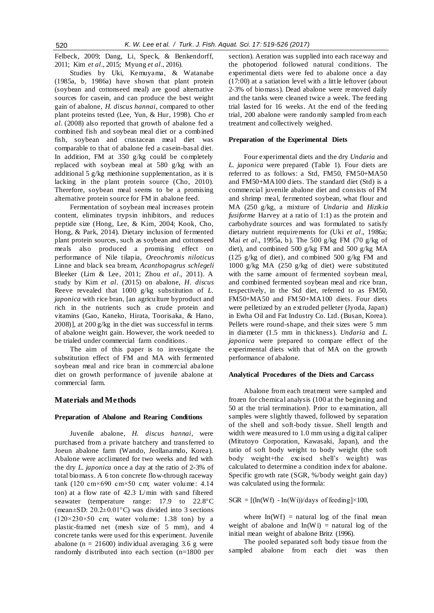Felbeck, 2009; Dang, Li, Speck, & Benkendorff, 2011; Kim *et al*., 2015; Myung *et al*., 2016).

Studies by Uki, Kemuyama, & Watanabe (1985a, b, 1986a) have shown that plant protein (soybean and cottonseed meal) are good alternative sources for casein, and can produce the best weight gain of abalone, *H. discus hannai*, compared to other plant proteins tested (Lee, Yun, & Hur, 1998). Cho *et al*. (2008) also reported that growth of abalone fed a combined fish and soybean meal diet or a combined fish, soybean and crustacean meal diet was comparable to that of abalone fed a casein-basal diet. In addition, FM at 350 g/kg could be completely replaced with soybean meal at 580 g/kg with an additional 5 g/kg methionine supplementation, as it is lacking in the plant protein source (Cho, 2010). Therefore, soybean meal seems to be a promising alternative protein source for FM in abalone feed.

Fermentation of soybean meal increases protein content, eliminates trypsin inhibitors, and reduces peptide size (Hong, Lee, & Kim, 2004; Kook, Cho, Hong, & Park, 2014). Dietary inclusion of fermented plant protein sources, such as soybean and cottonseed meals also produced a promising effect on performance of Nile tilapia, *Oreochromis niloticus* Linne and black sea bream, *Acanthopagrus schlegeli* Bleeker (Lim & Lee, 2011; Zhou *et al*., 2011). A study by Kim *et al*. (2015) on abalone, *H. discus*  Reeve revealed that 1000 g/kg substitution of *L*. *japonica* with rice bran, [an agriculture byproduct and rich in the nutrients such as crude protein and vitamins (Gao, Kaneko, Hirata, Toorisaka, & Hano, 2008)], at 200 g/kg in the diet was successful in terms of abalone weight gain. However, the work needed to be trialed under commercial farm conditions.

The aim of this paper is to investigate the substitution effect of FM and MA with fermented soybean meal and rice bran in commercial abalone diet on growth performance of juvenile abalone at commercial farm.

# **Materials and Methods**

# **Preparation of Abalone and Rearing Conditions**

Juvenile abalone, *H. discus hannai*, were purchased from a private hatchery and transferred to Joeun abalone farm (Wando, Jeollanamdo, Korea). Abalone were acclimated for two weeks and fed with the dry *L. japonica* once a day at the ratio of 2-3% of total biomass. A 6 ton concrete flow-through raceway tank (120 cm×690 cm×50 cm; water volume:  $4.14$ ton) at a flow rate of 42.3 L/min with sand filtered seawater (temperature range:  $17.9$  to  $22.8^{\circ}$ C (mean $\pm$ SD: 20.2 $\pm$ 0.01°C) was divided into 3 sections  $(120 \times 230 \times 50$  cm; water volume: 1.38 ton) by a plastic-framed net (mesh size of 5 mm), and 4 concrete tanks were used for this experiment. Juvenile abalone ( $n = 21600$ ) individual averaging 3.6 g were randomly distributed into each section (n=1800 per section). Aeration was supplied into each raceway and the photoperiod followed natural conditions. The experimental diets were fed to abalone once a day (17:00) at a satiation level with a little leftover (about 2-3% of biomass). Dead abalone were removed daily and the tanks were cleaned twice a week. The feeding trial lasted for 16 weeks. At the end of the feeding trial, 200 abalone were randomly sampled from each treatment and collectively weighed.

## **Preparation of the Experimental Diets**

Four experimental diets and the dry *Undaria* and *L. japonica* were prepared (Table 1). Four diets are referred to as follows: a Std, FM50, FM50+MA50 and FM50+MA100 diets. The standard diet (Std) is a commercial juvenile abalone diet and consists of FM and shrimp meal, fermented soybean, what flour and MA (250 g/kg, a mixture of *Undaria* and *Hizikia fusiforme* Harvey at a ratio of 1:1) as the protein and carbohydrate sources and was formulated to satisfy dietary nutrient requirements for (Uki *et al*., 1986a; Mai *et al*., 1995a, b). The 500 g/kg FM (70 g/kg of diet), and combined 500 g/kg FM and 500 g/kg MA (125 g/kg of diet), and combined 500 g/kg FM and 1000 g/kg MA (250 g/kg of diet) were substituted with the same amount of fermented soybean meal, and combined fermented soybean meal and rice bran, respectively, in the Std diet, referred to as FM50, FM50+MA50 and FM50+MA100 diets. Four diets were pelletized by an extruded pelleter (Jyoda, Japan) in Ewha Oil and Fat Industry Co. Ltd. (Busan, Korea). Pellets were round-shape, and their sizes were 5 mm in diameter (1.5 mm in thickness). *Undaria* and *L. japonica* were prepared to compare effect of the experimental diets with that of MA on the growth performance of abalone.

#### **Analytical Procedures of the Diets and Carcass**

Abalone from each treatment were sampled and frozen for chemical analysis (100 at the beginning and 50 at the trial termination). Prior to examination, all samples were slightly thawed, followed by separation of the shell and soft-body tissue. Shell length and width were measured to 1.0 mm using a digital caliper (Mitutoyo Corporation, Kawasaki, Japan), and the ratio of soft body weight to body weight (the soft body weight+the excised shell's weight) was calculated to determine a condition index for abalone. Specific growth rate (SGR, %/body weight gain day) was calculated using the formula:

## $SGR = [(ln(Wf) - ln(Wi))/days \text{ of feeding}]\times 100,$

where  $In(Wf) =$  natural log of the final mean weight of abalone and  $In(Wi) =$  natural log of the initial mean weight of abalone Britz (1996).

The pooled separated soft body tissue from the sampled abalone from each diet was then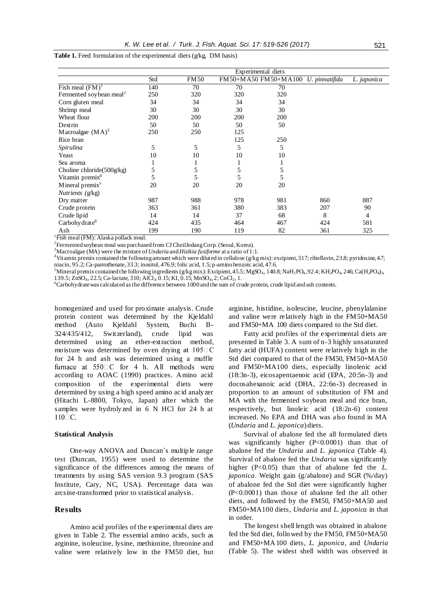|                                     | Experimental diets |             |     |                                     |     |             |
|-------------------------------------|--------------------|-------------|-----|-------------------------------------|-----|-------------|
|                                     | Std                | <b>FM50</b> |     | FM50+MA50 FM50+MA100 U. pinnatifida |     | L. japonica |
| Fish meal $(FM)^{1}$                | 140                | 70          | 70  | 70                                  |     |             |
| Fermented soybean meal <sup>2</sup> | 250                | 320         | 320 | 320                                 |     |             |
| Corn gluten meal                    | 34                 | 34          | 34  | 34                                  |     |             |
| Shrimp meal                         | 30                 | 30          | 30  | 30                                  |     |             |
| Wheat flour                         | 200                | 200         | 200 | 200                                 |     |             |
| Dextrin                             | 50                 | 50          | 50  | 50                                  |     |             |
| M acroalgae $(MA)^3$                | 250                | 250         | 125 |                                     |     |             |
| Rice bran                           |                    |             | 125 | 250                                 |     |             |
| Spirulina                           | 5                  | 5           | 5   | 5                                   |     |             |
| Yeast                               | 10                 | 10          | 10  | 10                                  |     |             |
| Sea aroma                           |                    |             |     | 1                                   |     |             |
| Choline chloride(500g/kg)           | 5                  | 5           | 5   | 5                                   |     |             |
| Vitamin premix <sup>4</sup>         | 5                  | 5           | 5   | 5                                   |     |             |
| Mineral premix $5$                  | 20                 | 20          | 20  | 20                                  |     |             |
| Nutrients (g/kg)                    |                    |             |     |                                     |     |             |
| Dry matter                          | 987                | 988         | 978 | 981                                 | 860 | 887         |
| Crude protein                       | 363                | 361         | 380 | 383                                 | 207 | 90          |
| Crude lipid                         | 14                 | 14          | 37  | 68                                  | 8   | 4           |
| Carbohy drate <sup>6</sup>          | 424                | 435         | 464 | 467                                 | 424 | 581         |
| Ash                                 | 199                | 190         | 119 | 82                                  | 361 | 325         |

**Table 1.** Feed formulation of the experimental diets (g/kg, DM basis)

<sup>1</sup>Fish meal (FM): Alaska pollack meal.

 $^2$ Fermented soybean meal was purchased from CJ CheilJedang Corp. (Seoul, Korea).

<sup>3</sup>Macroalgae (MA) were the mixture of *Undaria* and *Hizikia fusiforme* at a ratio of 1:1.

<sup>4</sup>Vitamin premix contained the following amount which were diluted in cellulose (g/kg mix): excipient, 317; riboflavin, 23.8; pyridoxine, 4.7; niacin, 95.2; Ca-pantothenate, 33.3; inositol, 476.9; folic acid, 1.5; p-amino benzoic acid, 47.6.

<sup>5</sup>Mineral premix contained the following ingredients (g/kg mix): Excipient, 45.5; MgSO<sub>4</sub>, 140.8; NaH<sub>2</sub>PO<sub>4</sub>, 92.4; KH<sub>2</sub>PO<sub>4</sub>, 246; Ca(H<sub>2</sub>PO<sub>4)2</sub>,  $139.5; ZnSO<sub>4</sub>, 22.5; Ca-lactate, 310; AICl<sub>3</sub>, 0.15; KI, 0.15; MnSO<sub>4</sub>, 2; CoCl<sub>2</sub>, 1.$ 

 $6C$ arbohydrate was calculated as the difference between 1000 and the sum of crude protein, crude lipid and ash contents.

homogenized and used for proximate analysis. Crude protein content was determined by the Kjeldahl method (Auto Kjeldahl System, Buchi B-324/435/412, Switzerland), crude lipid was determined using an ether-extraction method, moisture was determined by oven drying at  $105\Box$ C for 24 h and ash was determined using a muffle furnace at  $550 \square C$  for 4 h. All methods were according to AOAC (1990) practices. Amino acid composition of the experimental diets were determined by using a high speed amino acid analyzer (Hitachi L-8800, Tokyo, Japan) after which the samples were hydrolyzed in 6 N HCl for 24 h at 110□С.

## **Statistical Analysis**

One-way ANOVA and Duncan`s multiple range test (Duncan, 1955) were used to determine the significance of the differences among the means of treatments by using SAS version 9.3 program (SAS Institute, Cary, NC, USA). Percentage data was arcsine-transformed prior to statistical analysis.

# **Results**

Amino acid profiles of the experimental diets are given in Table 2. The essential amino acids, such as arginine, isoleucine, lysine, methionine, threonine and valine were relatively low in the FM50 diet, but arginine, histidine, isoleucine, leucine, phenylalanine and valine were relatively high in the FM50+MA50 and FM50+MA 100 diets compared to the Std diet.

Fatty acid profiles of the experimental diets are presented in Table 3. A sum of n-3 highly unsaturated fatty acid (HUFA) content were relatively high in the Std diet compared to that of the FM50, FM50+MA50 and FM50+MA100 diets, especially linolenic acid (18:3n-3), eicosapentaenoic acid (EPA, 20:5n-3) and docosahexanoic acid (DHA, 22:6n-3) decreased in proportion to an amount of substitution of FM and MA with the fermented soybean meal and rice bran, respectively, but linoleic acid (18:2n-6) content increased. No EPA and DHA was also found in MA (*Undaria* and *L. japonica*) diets.

Survival of abalone fed the all formulated diets was significantly higher (P<0.0001) than that of abalone fed the *Undaria* and *L. japonica* (Table 4). Survival of abalone fed the *Undaria* was significantly higher (P<0.05) than that of abalone fed the *L*. *japonica*. Weight gain (g/abalone) and SGR (%/day) of abalone fed the Std diet were significantly higher (P<0.0001) than those of abalone fed the all other diets, and followed by the FM50, FM50+MA50 and FM50+MA100 diets, *Undaria* and *L. japonica* in that in order.

The longest shell length was obtained in abalone fed the Std diet, followed by the FM50, FM50+MA50 and FM50+MA100 diets, *L. japonica*, and *Undaria*  (Table 5). The widest shell width was observed in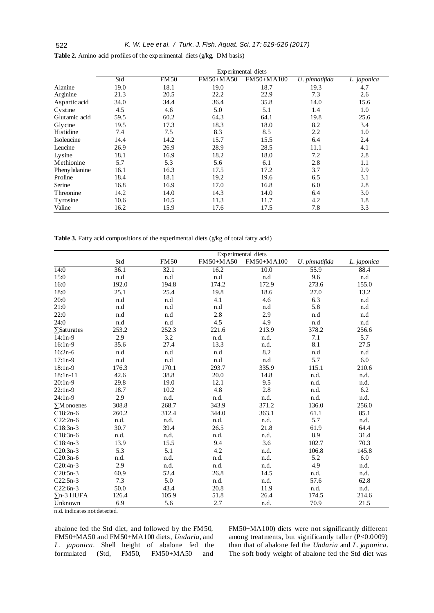|                | Experimental diets |             |             |            |                |             |
|----------------|--------------------|-------------|-------------|------------|----------------|-------------|
|                | Std                | <b>FM50</b> | FM 50+M A50 | FM50+MA100 | U. pinnatifida | L. japonica |
| Alanine        | 19.0               | 18.1        | 19.0        | 18.7       | 19.3           | 4.7         |
| Arginine       | 21.3               | 20.5        | 22.2        | 22.9       | 7.3            | 2.6         |
| Aspartic acid  | 34.0               | 34.4        | 36.4        | 35.8       | 14.0           | 15.6        |
| Cystine        | 4.5                | 4.6         | 5.0         | 5.1        | 1.4            | 1.0         |
| Glutamic acid  | 59.5               | 60.2        | 64.3        | 64.1       | 19.8           | 25.6        |
| Glycine        | 19.5               | 17.3        | 18.3        | 18.0       | 8.2            | 3.4         |
| Histidine      | 7.4                | 7.5         | 8.3         | 8.5        | 2.2            | 1.0         |
| Isoleucine     | 14.4               | 14.2        | 15.7        | 15.5       | 6.4            | 2.4         |
| Leucine        | 26.9               | 26.9        | 28.9        | 28.5       | 11.1           | 4.1         |
| Lysine         | 18.1               | 16.9        | 18.2        | 18.0       | 7.2            | 2.8         |
| Methionine     | 5.7                | 5.3         | 5.6         | 6.1        | 2.8            | 1.1         |
| Pheny lalanine | 16.1               | 16.3        | 17.5        | 17.2       | 3.7            | 2.9         |
| Proline        | 18.4               | 18.1        | 19.2        | 19.6       | 6.5            | 3.1         |
| Serine         | 16.8               | 16.9        | 17.0        | 16.8       | 6.0            | 2.8         |
| Threonine      | 14.2               | 14.0        | 14.3        | 14.0       | 6.4            | 3.0         |
| Tyrosine       | 10.6               | 10.5        | 11.3        | 11.7       | 4.2            | 1.8         |
| Valine         | 16.2               | 15.9        | 17.6        | 17.5       | 7.8            | 3.3         |

**Table 2.** Amino acid profiles of the experimental diets (g/kg, DM basis)

Table 3. Fatty acid compositions of the experimental diets (g/kg of total fatty acid)

|                                             | Experimental diets |             |           |            |                |             |  |
|---------------------------------------------|--------------------|-------------|-----------|------------|----------------|-------------|--|
|                                             | Std                | <b>FM50</b> | FM50+MA50 | FM50+MA100 | U. pinnatifida | L. japonica |  |
| 14:0                                        | 36.1               | 32.1        | 16.2      | 10.0       | 55.9           | 88.4        |  |
| 15:0                                        | n.d                | n.d         | n.d       | n.d        | 9.6            | n.d         |  |
| 16:0                                        | 192.0              | 194.8       | 174.2     | 172.9      | 273.6          | 155.0       |  |
| 18:0                                        | 25.1               | 25.4        | 19.8      | 18.6       | 27.0           | 13.2        |  |
| 20:0                                        | n.d                | n.d         | 4.1       | 4.6        | 6.3            | n.d         |  |
| 21:0                                        | n.d                | n.d         | n.d       | n.d        | 5.8            | n.d         |  |
| 22:0                                        | n.d                | n.d         | 2.8       | 2.9        | n.d            | n.d         |  |
| 24:0                                        | n.d                | n.d         | 4.5       | 4.9        | n.d            | n.d         |  |
| $\sum$ Saturates                            | 253.2              | 252.3       | 221.6     | 213.9      | 378.2          | 256.6       |  |
| $14:1n-9$                                   | 2.9                | 3.2         | n.d.      | n.d.       | 7.1            | 5.7         |  |
| $16:1n-9$                                   | 35.6               | 27.4        | 13.3      | n.d.       | 8.1            | 27.5        |  |
| $16:2n-6$                                   | n.d                | n.d         | n.d       | 8.2        | n.d            | n.d         |  |
| $17:1n-9$                                   | n.d                | n.d         | n.d       | n.d        | 5.7            | $6.0\,$     |  |
| 18:1n-9                                     | 176.3              | 170.1       | 293.7     | 335.9      | 115.1          | 210.6       |  |
| $18:1n-11$                                  | 42.6               | 38.8        | 20.0      | 14.8       | n.d.           | n.d.        |  |
| $20:1n-9$                                   | 29.8               | 19.0        | 12.1      | 9.5        | n.d.           | n.d.        |  |
| $22:1n-9$                                   | 18.7               | 10.2        | 4.8       | 2.8        | n.d.           | $6.2\,$     |  |
| $24:1n-9$                                   | 2.9                | n.d.        | n.d.      | n.d.       | n.d.           | n.d.        |  |
| $\Sigma M$ onoenes                          | 308.8              | 268.7       | 343.9     | 371.2      | 136.0          | 256.0       |  |
| $C18:2n-6$                                  | 260.2              | 312.4       | 344.0     | 363.1      | 61.1           | 85.1        |  |
| $C22:2n-6$                                  | n.d.               | n.d.        | n.d.      | n.d.       | 5.7            | n.d.        |  |
| $C18:3n-3$                                  | 30.7               | 39.4        | 26.5      | 21.8       | 61.9           | 64.4        |  |
| $C18:3n-6$                                  | n.d.               | n.d.        | n.d.      | n.d.       | 8.9            | 31.4        |  |
| C18:4n-3                                    | 13.9               | 15.5        | 9.4       | 3.6        | 102.7          | 70.3        |  |
| $C20:3n-3$                                  | 5.3                | 5.1         | 4.2       | n.d.       | 106.8          | 145.8       |  |
| $C20:3n-6$                                  | n.d.               | n.d.        | n.d.      | n.d.       | 5.2            | 6.0         |  |
| $C20:4n-3$                                  | 2.9                | n.d.        | n.d.      | n.d.       | 4.9            | n.d.        |  |
| $C20:5n-3$                                  | 60.9               | 52.4        | 26.8      | 14.5       | n.d.           | n.d.        |  |
| $C22:5n-3$                                  | 7.3                | 5.0         | n.d.      | n.d.       | 57.6           | 62.8        |  |
| $C22:6n-3$                                  | 50.0               | 43.4        | 20.8      | 11.9       | n.d.           | n.d.        |  |
| $\Sigma$ n-3 HUFA                           | 126.4              | 105.9       | 51.8      | 26.4       | 174.5          | 214.6       |  |
| Unknown<br>$\overline{\mathbf{r}^{\prime}}$ | 6.9                | 5.6         | 2.7       | n.d.       | 70.9           | 21.5        |  |

n.d. indicates not detected.

abalone fed the Std diet, and followed by the FM50, FM50+MA50 and FM50+MA100 diets, *Undaria*, and *L. japonica*. Shell height of abalone fed the formulated (Std, FM50, FM50+MA50 and

FM50+MA100) diets were not significantly different among treatments, but significantly taller (P<0.0009) than that of abalone fed the *Undaria* and *L. japonica*. The soft body weight of abalone fed the Std diet was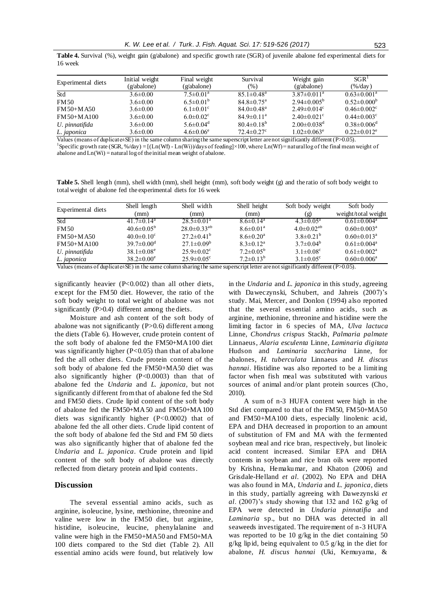**Table 4.** Survival (%), weight gain (g/abalone) and specific growth rate (SGR) of juvenile abalone fed experimental diets for 16 week

| Experimental diets | Initial weight | Final weight                | Survival                     | Weight gain                   | SGR <sup>1</sup>              |
|--------------------|----------------|-----------------------------|------------------------------|-------------------------------|-------------------------------|
|                    | (g/abalone)    | (g/abalone)                 | (%)                          | (g/abalone)                   | $(\% /day)$                   |
| Std                | $3.6 \pm 0.00$ | $7.5 \pm 0.01^a$            | $85.1 \pm 0.48$ <sup>a</sup> | $3.87 \pm 0.011^{\text{a}}$   | $0.63 \pm 0.001^{\text{a}}$   |
| <b>FM50</b>        | $3.6 \pm 0.00$ | $6.5 \pm 0.01^b$            | $84.8 \pm 0.75$ <sup>a</sup> | $2.94\pm0.005^{\rm b}$        | $0.52 \pm 0.000^b$            |
| $FM 50+MA 50$      | $3.6 \pm 0.00$ | $6.1 \pm 0.01$ <sup>c</sup> | $84.0 \pm 0.48$ <sup>a</sup> | $2.49 \pm 0.014$ <sup>c</sup> | $0.46 \pm 0.002$ <sup>c</sup> |
| $FM 50+MA 100$     | $3.6 \pm 0.00$ | $6.0 \pm 0.02$ <sup>c</sup> | $84.9 \pm 0.11^a$            | $2.40\pm0.021$ °              | $0.44 \pm 0.003$ <sup>c</sup> |
| U. pinnatifida     | $3.6 \pm 0.00$ | 5.6 $\pm$ 0.04 <sup>d</sup> | $80.4 \pm 0.18^b$            | $2.00 \pm 0.038$ <sup>d</sup> | $0.38 \pm 0.006$ <sup>d</sup> |
| L. japonica        | $3.6 \pm 0.00$ | $4.6 \pm 0.06^e$            | $72.4 \pm 0.27$ °            | $1.02 \pm 0.063^e$            | $0.22 \pm 0.012$ <sup>e</sup> |

Values (means of duplicate±SE) in the same column sharing the same superscript letter are not significantly different (P>0.05). <sup>1</sup>Specific growth rate (SGR, %/day) = [(Ln(Wf) - Ln(Wi))/days of feeding]×100, where Ln(Wf) = natural log of the final mean weight of abalone and  $Ln(Wi) =$  natural log of the initial mean weight of abalone.

**Table 5.** Shell length (mm), shell width (mm), shell height (mm), soft body weight (g) and the ratio of soft body weight to total weight of abalone fed the experimental diets for 16 week

|                    | Shell length                 | Shell width                  | Shell height           | Soft body weight            | Soft body           |
|--------------------|------------------------------|------------------------------|------------------------|-----------------------------|---------------------|
| Experimental diets | (mm)                         | (mm)                         | (mm)                   | (g)                         | weight/total weight |
| Std                | 41.7 $\pm$ 0.14 <sup>a</sup> | $28.5 \pm 0.01^a$            | $8.6 \pm 0.14^a$       | $4.3 \pm 0.05^{\text{a}}$   | $0.61 \pm 0.004^a$  |
| <b>FM50</b>        | $40.6 \pm 0.05^{\rm b}$      | $28.0\pm0.33^{ab}$           | $8.6 \pm 0.01^a$       | $4.0\pm0.02^{ab}$           | $0.60 \pm 0.003^a$  |
| $FM 50+MA 50$      | $40.0 \pm 0.10^{\circ}$      | $27.2 \pm 0.41^{\rm b}$      | $8.6 \pm 0.20^a$       | $3.8\pm0.21^{b}$            | $0.60 \pm 0.013^a$  |
| $FM 50+MA 100$     | $39.7 \pm 0.00$ <sup>d</sup> | $27.1 \pm 0.09^b$            | $8.3 \pm 0.12^a$       | $3.7 \pm 0.04^b$            | $0.61 \pm 0.004^a$  |
| U. pinnatifida     | $38.1 \pm 0.08$ <sup>e</sup> | $25.9 \pm 0.02$ <sup>c</sup> | $7.2 \pm 0.05^{\rm b}$ | $3.1 \pm 0.08$ <sup>c</sup> | $0.61 \pm 0.002^a$  |
| L. japonica        | $38.2 \pm 0.00^e$            | $25.9 \pm 0.05$ <sup>c</sup> | $7.2 \pm 0.13^b$       | $3.1 \pm 0.05$ <sup>c</sup> | $0.60 \pm 0.006^a$  |

Values (means of duplicate±SE) in the same column sharing the same superscript letter are not significantly different (P>0.05).

significantly heavier  $(P<0.002)$  than all other diets, except for the FM50 diet. However, the ratio of the soft body weight to total weight of abalone was not significantly (P>0.4) different among the diets.

Moisture and ash content of the soft body of abalone was not significantly  $(P>0.6)$  different among the diets (Table 6). However, crude protein content of the soft body of abalone fed the FM50+MA100 diet was significantly higher  $(P<0.05)$  than that of abalone fed the all other diets. Crude protein content of the soft body of abalone fed the FM50+MA50 diet was also significantly higher (P<0.0003) than that of abalone fed the *Undaria* and *L. japonica*, but not significantly different from that of abalone fed the Std and FM50 diets. Crude lipid content of the soft body of abalone fed the FM50+MA50 and FM50+MA100 diets was significantly higher (P<0.0002) that of abalone fed the all other diets. Crude lipid content of the soft body of abalone fed the Std and FM 50 diets was also significantly higher that of abalone fed the *Undaria* and *L. japonica*. Crude protein and lipid content of the soft body of abalone was directly reflected from dietary protein and lipid contents.

# **Discussion**

The several essential amino acids, such as arginine, isoleucine, lysine, methionine, threonine and valine were low in the FM50 diet, but arginine, histidine, isoleucine, leucine, phenylalanine and valine were high in the FM50+MA50 and FM50+MA 100 diets compared to the Std diet (Table 2). All essential amino acids were found, but relatively low in the *Undaria* and *L. japonica* in this study, agreeing with Daweczynski, Schubert, and Jahreis (2007)'s study. Mai, Mercer, and Donlon (1994) also reported that the several essential amino acids, such as arginine, methionine, threonine and histidine were the limiting factor in 6 species of MA, *Ulva lactuca* Linne, *Chondrus crispus* Stackh, *Palmaria palmate* Linnaeus, *Alaria esculenta* Linne, *Laminaria digitata* Hudson and *Laminaria saccharina* Linne, for abalones, *H. tuberculata* Linnaeus and *H. discus hannai*. Histidine was also reported to be a limiting factor when fish meal was substituted with various sources of animal and/or plant protein sources (Cho, 2010).

A sum of n-3 HUFA content were high in the Std diet compared to that of the FM50, FM50+MA50 and FM50+MA100 diets, especially linolenic acid, EPA and DHA decreased in proportion to an amount of substitution of FM and MA with the fermented soybean meal and rice bran, respectively, but linoleic acid content increased. Similar EPA and DHA contents in soybean and rice bran oils were reported by Krishna, Hemakumar, and Khaton (2006) and Grisdale-Helland *et al*. (2002). No EPA and DHA was also found in MA, *Undaria* and *L. japonica*, diets in this study, partially agreeing with Dawezynski *et al*. (2007)'s study showing that 132 and 162 g/kg of EPA were detected in *Undaria pinnatifia* and *Laminaria* sp., but no DHA was detected in all seaweeds investigated. The requirement of n-3 HUFA was reported to be 10 g/kg in the diet containing 50 g/kg lipid, being equivalent to 0.5 g/kg in the diet for abalone, *H. discus hannai* (Uki, Kemuyama, &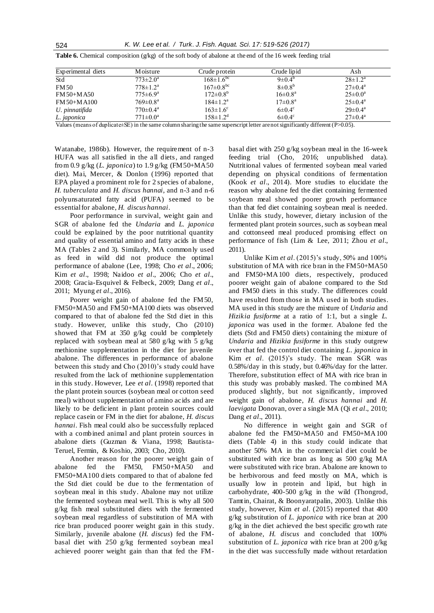| Experimental diets | Moisture                 | Crude protein              | Crude lipid          | Ash                     |
|--------------------|--------------------------|----------------------------|----------------------|-------------------------|
| Std                | $773 \pm 2.0^{\circ}$    | $168 \pm 1.6^{\circ}$      | $9\pm0.4^{\circ}$    | $28 \pm 1.2^a$          |
| <b>FM50</b>        | $778 \pm 1.2^a$          | $167 \pm 0.8^{\rm bc}$     | $8\pm0.8^{b}$        | $27 \pm 0.4^{\rm a}$    |
| FM 50+M A50        | $775 \pm 6.9^{\rm a}$    | $172 \pm 0.8^b$            | $16 \pm 0.8^{\rm a}$ | $25 \pm 0.0^{\circ}$    |
| FM 50+M A100       | $769 \pm 0.8^{\text{a}}$ | $184 \pm 1.2^a$            | $17\pm0.8^{\rm a}$   | $25 \pm 0.4^{\text{a}}$ |
| U. pinnatifida     | $770 \pm 0.4^{\text{a}}$ | $163 \pm 1.6$ <sup>c</sup> | $6\pm0.4^\circ$      | $29 \pm 0.4^{\text{a}}$ |
| L. japonica        | $771 \pm 0.0^{\text{a}}$ | $158 \pm 1.2^d$            | $6\pm0.4^\circ$      | $27 \pm 0.4^{\text{a}}$ |

**Table 6.** Chemical composition  $(g/\text{kg})$  of the soft body of abalone at the end of the 16 week feeding trial

Values (means of duplicate±SE) in the same column sharing the same superscript letter are not significantly different (P>0.05).

Watanabe, 1986b). However, the requirement of n-3 HUFA was all satisfied in the all diets, and ranged from 0.9 g/kg (*L. japonica*) to 1.9 g/kg (FM50+MA50 diet). Mai, Mercer, & Donlon (1996) reported that EPA played a prominent role for 2 species of abalone, *H. tuberculata* and *H. discus hannai*, and n-3 and n-6 polyunsaturated fatty acid (PUFA) seemed to be essential for abalone, *H. discus hannai*.

Poor performance in survival, weight gain and SGR of abalone fed the *Undaria* and *L. japonica* could be explained by the poor nutritional quantity and quality of essential amino and fatty acids in these MA (Tables 2 and 3). Similarly, MA commonly used as feed in wild did not produce the optimal performance of abalone (Lee, 1998; Cho *et al*., 2006; Kim *et al*., 1998; Naidoo *et al*., 2006; Cho *et al*., 2008; Gracia-Esquivel & Felbeck, 2009; Dang *et al*., 2011; Myung *et al*., 2016).

Poorer weight gain of abalone fed the FM50, FM50+MA50 and FM50+MA100 diets was observed compared to that of abalone fed the Std diet in this study. However, unlike this study, Cho (2010) showed that FM at 350 g/kg could be completely replaced with soybean meal at 580 g/kg with 5 g/kg methionine supplementation in the diet for juvenile abalone. The differences in performance of abalone between this study and Cho (2010)'s study could have resulted from the lack of methionine supplementation in this study. However, Lee *et al*. (1998) reported that the plant protein sources (soybean meal or cotton seed meal) without supplementation of amino acids and are likely to be deficient in plant protein sources could replace casein or FM in the diet for abalone, *H. discus hannai*. Fish meal could also be successfully replaced with a combined animal and plant protein sources in abalone diets (Guzman & Viana, 1998; Bautista-Teruel, Fermin, & Koshio, 2003; Cho, 2010).

Another reason for the poorer weight gain of abalone fed the FM50, FM50+MA50 and FM50+MA100 diets compared to that of abalone fed the Std diet could be due to the fermentation of soybean meal in this study. Abalone may not utilize the fermented soybean meal well. This is why all 500 g/kg fish meal substituted diets with the fermented soybean meal regardless of substitution of MA with rice bran produced poorer weight gain in this study. Similarly, juvenile abalone (*H. discus*) fed the FMbasal diet with 250 g/kg fermented soybean meal achieved poorer weight gain than that fed the FM- basal diet with 250 g/kg soybean meal in the 16-week feeding trial (Cho, 2016; unpublished data). Nutritional values of fermented soybean meal varied depending on physical conditions of fermentation (Kook *et al*., 2014). More studies to elucidate the reason why abalone fed the diet containing fermented soybean meal showed poorer growth performance than that fed diet containing soybean meal is needed. Unlike this study, however, dietary inclusion of the fermented plant protein sources, such as soybean meal and cottonseed meal produced promising effect on performance of fish (Lim & Lee, 2011; Zhou *et al*., 2011).

Unlike Kim *et al*. (2015)'s study, 50% and 100% substitution of MA with rice bran in the FM50+MA50 and FM50+MA100 diets, respectively, produced poorer weight gain of abalone compared to the Std and FM50 diets in this study. The differences could have resulted from those in MA used in both studies. MA used in this study are the mixture of *Undaria* and *Hizikia fusiforme* at a ratio of 1:1, but a single *L. japonica* was used in the former. Abalone fed the diets (Std and FM50 diets) containing the mixture of *Undaria* and *Hizikia fusiforme* in this study outgrew over that fed the control diet containing *L. japonica* in Kim *et al*. (2015)'s study. The mean SGR was 0.58%/day in this study, but 0.46%/day for the latter. Therefore, substitution effect of MA with rice bran in this study was probably masked. The combined MA produced slightly, but not significantly, improved weight gain of abalone, *H. discus hannai* and *H. laevigata* Donovan, over a single MA (Qi *et al*., 2010; Dang *et al*., 2011).

No difference in weight gain and SGR of abalone fed the FM50+MA50 and FM50+MA100 diets (Table 4) in this study could indicate that another 50% MA in the commercial diet could be substituted with rice bran as long as 500 g/kg MA were substituted with rice bran. Abalone are known to be herbivorous and feed mostly on MA, which is usually low in protein and lipid, but high in carbohydrate, 400-500 g/kg in the wild (Thongrod, Tamtin, Chairat, & Boonyaratpalin, 2003). Unlike this study, however, Kim *et al*. (2015) reported that 400 g/kg substitution of *L. japonica* with rice bran at 200 g/kg in the diet achieved the best specific growth rate of abalone, *H. discus* and concluded that 100% substitution of *L. japonica* with rice bran at 200 g/kg in the diet was successfully made without retardation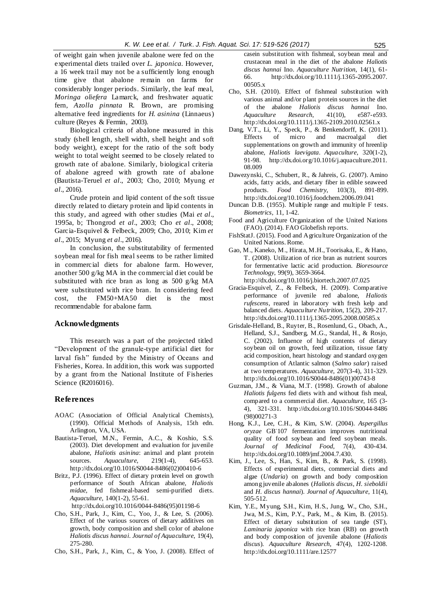of weight gain when juvenile abalone were fed on the experimental diets trailed over *L. japonica.* However, a 16 week trail may not be a sufficiently long enough time give that abalone remain on farms for considerably longer periods. Similarly, the leaf meal, *Moringa oliefera* Lamarck, and freshwater aquatic fern, *Azolla pinnata* R. Brown, are promising alternative feed ingredients for *H. asinina* (Linnaeus) culture (Reyes & Fermin, 2003).

Biological criteria of abalone measured in this study (shell length, shell width, shell height and soft body weight), except for the ratio of the soft body weight to total weight seemed to be closely related to growth rate of abalone. Similarly, biological criteria of abalone agreed with growth rate of abalone (Bautista-Teruel *et al*., 2003; Cho, 2010; Myung *et al*., 2016).

Crude protein and lipid content of the soft tissue directly related to dietary protein and lipid contents in this study, and agreed with other studies (Mai *et al*., 1995a, b; Thongrod *et al*., 2003; Cho *et al*., 2008; Garcia-Esquivel & Felbeck, 2009; Cho, 2010; Kim *et al*., 2015; Myung *et al*., 2016).

In conclusion, the substitutability of fermented soybean meal for fish meal seems to be rather limited in commercial diets for abalone farm. However, another 500 g/kg MA in the commercial diet could be substituted with rice bran as long as 500 g/kg MA were substituted with rice bran. In considering feed cost, the FM50+MA50 diet is the most recommendable for abalone farm.

#### **Acknowledgments**

This research was a part of the projected titled "Development of the granule-type artificial diet for larval fish" funded by the Ministry of Oceans and Fisheries, Korea. In addition, this work was supported by a grant from the National Institute of Fisheries Science (R2016016).

#### **References**

- AOAC (Association of Official Analytical Chemists), (1990). Official Methods of Analysis, 15th edn. Arlington, VA, USA.
- Bautista-Teruel, M.N., Fermin, A.C., & Koshio, S.S. (2003). Diet development and evaluation for juvenile abalone, *Haliotis asinina*: animal and plant protein sources. *Aquaculture*, 219(1-4), 645-653. http://dx.doi.org/10.1016/S0044-8486(02)00410-6
- Britz, P.J. (1996). Effect of dietary protein level on growth performance of South African abalone, *Haliotis midae*, fed fishmeal-based semi-purified diets. *Aquaculture*, 140(1-2), 55-61. [http://dx.doi.org/10.1016/0044-8486\(95\)01198-6](http://dx.doi.org/10.1016/0044-8486(95)01198-)
- Cho, S.H., Park, J., Kim, C., Yoo, J., & Lee, S. (2006). Effect of the various sources of dietary additives on growth, body composition and shell color of abalone *Haliotis discus hannai*. *Journal of Aquaculture*, 19(4), 275-280.
- Cho, S.H., Park, J., Kim, C., & Yoo, J. (2008). Effect of

casein substitution with fishmeal, soybean meal and crustacean meal in the diet of the abalone *Haliotis discus hannai* Ino. *Aquaculture Nutrition,* 14(1), 61- 66. http://dx.doi.org/10.1111/j.1365-2095.2007. 00505.x

- Cho, S.H. (2010). Effect of fishmeal substitution with various animal and/or plant protein sources in the diet of the abalone *Haliotis discus hannai* Ino. *Aquaculture Research*, 41(10), e587-e593. [http://dx.doi.org/10.1111/j.1365-2](http://dx.doi.org/10.1111/j.1365-)109.2010.02561.x
- Dang, V.T., Li, Y., Speck, P., & Benkendorff, K. (2011). Effects of micro and macroalgal diet supplementations on growth and immunity of hreenlip abalone, *Haliotis laevigata*. *Aquaculture*, 320(1-2), 91-98. http://dx.doi.org/10.1016/j.aquaculture.2011. 08.009
- Dawezynski, C., Schubert, R., & Jahreis, G. (2007). Amino acids, fatty acids, and dietary fiber in edible seaweed products. *Food Chemistry*, 103(3), 891-899. http://dx.doi.org/10.1016/j.foodchem.2006.09.041
- Duncan D.B. (1955). Multiple range and multiple F tests. *Biometrics*, 11, 1-42.
- Food and Agriculture Organization of the United Nations (FAO). (2014). FAO Globefish reports.
- FishStatJ. (2015). Food and Agriculture Organization of the United Nations. Rome.
- Gao, M., Kaneko, M., Hirata, M.H., Toorisaka, E., & Hano, T. (2008). Utilization of rice bran as nutrient sources for fermentative lactic acid production. *Bioresource Technology*, 99(9), 3659-3664.
	- http://dx.doi.org/10.1016/j.biortech.2007.07.025
- Gracia-Esquivel, Z., & Felbeck, H. (2009). Comparative performance of juvenile red abalone, *Haliotis rufescens*, reared in laboratory with fresh kelp and balanced diets. *Aquaculture Nutrition*, 15(2), 209-217. http://dx.doi.org/10.1111/j.1365-2095.2008.00585.x
- Grisdale-Helland, B., Ruyter, B., Rosenlund, G., Obach, A., Helland, S.J., Sandberg, M.G., Standal, H., & Rosjo, C. (2002). Influence of high contents of dietary soybean oil on growth, feed utilization, tissue fatty acid composition, heart histology and standard oxygen consumption of Atlantic salmon (*Salmo salar*) raised at two temperatures. *Aquaculture*, 207(3-4), 311-329. http://dx.doi.org/10.1016/S0044-8486(01)00743-8
- Guzman, J.M., & Viana, M.T. (1998). Growth of abalone *Haliotis fulgens* fed diets with and without fish meal, compared to a commercial diet. *Aquaculture*, 165 (3- 4), 321-331. http://dx.doi.org/10.1016/S0044-8486 (98)00271-3
- Hong, K.J., Lee, C.H., & Kim, S.W. (2004). *Aspergillus oryzae* GB-107 fermentation improves nutritional quality of food soybean and feed soybean meals. *Journal of Medicinal Food*, 7(4), 430-434. http://dx.doi.org/10.1089/jmf.2004.7.430.
- Kim, J., Lee, S., Han, S., Kim, B., & Park, S. (1998). Effects of experimental diets, commercial diets and algae (*Undaria*) on growth and body composition among juvenile abalones (*Haliotis discus*, *H. sieboldii*  and *H. discus hannai*). *Journal of Aquaculture*, 11(4), 505-512.
- Kim, Y.E., Myung, S.H., Kim, H.S., Jung, W., Cho, S.H., Jwa, M.S., Kim, P.Y., Park, M., & Kim, B. (2015). Effect of dietary substitution of sea tangle (ST), *Laminaria japonica* with rice bran (RB) on growth and body composition of juvenile abalone (*Haliotis discus*)*. Aquaculture Research*, 47(4), 1202-1208. http://dx.doi.org/10.1111/are.12577